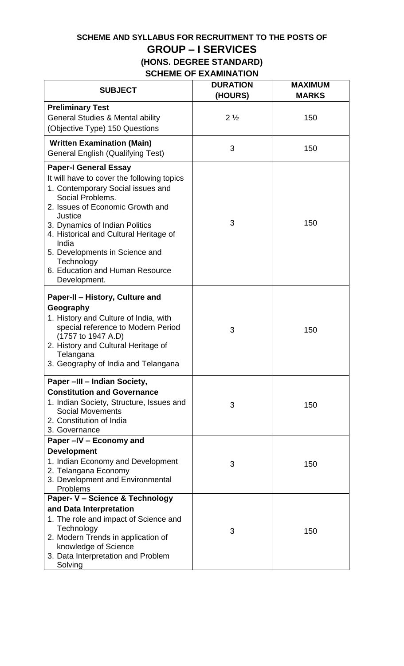# **SCHEME AND SYLLABUS FOR RECRUITMENT TO THE POSTS OF GROUP – I SERVICES (HONS. DEGREE STANDARD)**

# **SCHEME OF EXAMINATION**

| <b>SUBJECT</b>                                                                                                                                                                                                                                                                                                                             | <b>DURATION</b><br>(HOURS) | <b>MAXIMUM</b><br><b>MARKS</b> |
|--------------------------------------------------------------------------------------------------------------------------------------------------------------------------------------------------------------------------------------------------------------------------------------------------------------------------------------------|----------------------------|--------------------------------|
| <b>Preliminary Test</b>                                                                                                                                                                                                                                                                                                                    |                            |                                |
| <b>General Studies &amp; Mental ability</b>                                                                                                                                                                                                                                                                                                | $2\frac{1}{2}$             | 150                            |
| (Objective Type) 150 Questions                                                                                                                                                                                                                                                                                                             |                            |                                |
| <b>Written Examination (Main)</b><br><b>General English (Qualifying Test)</b>                                                                                                                                                                                                                                                              | 3                          | 150                            |
| <b>Paper-I General Essay</b>                                                                                                                                                                                                                                                                                                               |                            |                                |
| It will have to cover the following topics<br>1. Contemporary Social issues and<br>Social Problems.<br>2. Issues of Economic Growth and<br>Justice<br>3. Dynamics of Indian Politics<br>4. Historical and Cultural Heritage of<br>India<br>5. Developments in Science and<br>Technology<br>6. Education and Human Resource<br>Development. | 3                          | 150                            |
| Paper-II - History, Culture and<br>Geography<br>1. History and Culture of India, with<br>special reference to Modern Period<br>(1757 to 1947 A.D)<br>2. History and Cultural Heritage of<br>Telangana<br>3. Geography of India and Telangana                                                                                               | 3                          | 150                            |
| Paper -III - Indian Society,                                                                                                                                                                                                                                                                                                               |                            |                                |
| <b>Constitution and Governance</b><br>1. Indian Society, Structure, Issues and<br><b>Social Movements</b><br>2. Constitution of India<br>3. Governance                                                                                                                                                                                     | 3                          | 150                            |
| Paper -IV - Economy and                                                                                                                                                                                                                                                                                                                    |                            |                                |
| <b>Development</b>                                                                                                                                                                                                                                                                                                                         |                            |                                |
| 1. Indian Economy and Development<br>2. Telangana Economy<br>3. Development and Environmental<br>Problems                                                                                                                                                                                                                                  | 3                          | 150                            |
| Paper- V - Science & Technology                                                                                                                                                                                                                                                                                                            |                            |                                |
| and Data Interpretation                                                                                                                                                                                                                                                                                                                    |                            |                                |
| 1. The role and impact of Science and<br>Technology<br>2. Modern Trends in application of<br>knowledge of Science<br>3. Data Interpretation and Problem<br>Solving                                                                                                                                                                         | 3                          | 150                            |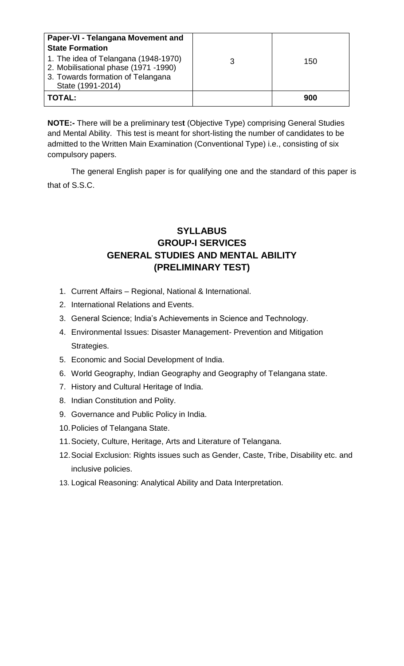| Paper-VI - Telangana Movement and                                                                                                      |   |     |
|----------------------------------------------------------------------------------------------------------------------------------------|---|-----|
| <b>State Formation</b>                                                                                                                 |   |     |
| 1. The idea of Telangana (1948-1970)<br>2. Mobilisational phase (1971 -1990)<br>3. Towards formation of Telangana<br>State (1991-2014) | З | 150 |
| <b>TOTAL:</b>                                                                                                                          |   | 900 |

**NOTE:-** There will be a preliminary tes**t** (Objective Type) comprising General Studies and Mental Ability. This test is meant for short-listing the number of candidates to be admitted to the Written Main Examination (Conventional Type) i.e., consisting of six compulsory papers.

The general English paper is for qualifying one and the standard of this paper is that of S.S.C.

# **SYLLABUS GROUP-I SERVICES GENERAL STUDIES AND MENTAL ABILITY (PRELIMINARY TEST)**

- 1. Current Affairs Regional, National & International.
- 2. International Relations and Events.
- 3. General Science; India's Achievements in Science and Technology.
- 4. Environmental Issues: Disaster Management- Prevention and Mitigation Strategies.
- 5. Economic and Social Development of India.
- 6. World Geography, Indian Geography and Geography of Telangana state.
- 7. History and Cultural Heritage of India.
- 8. Indian Constitution and Polity.
- 9. Governance and Public Policy in India.
- 10.Policies of Telangana State.
- 11.Society, Culture, Heritage, Arts and Literature of Telangana.
- 12.Social Exclusion: Rights issues such as Gender, Caste, Tribe, Disability etc. and inclusive policies.
- 13. Logical Reasoning: Analytical Ability and Data Interpretation.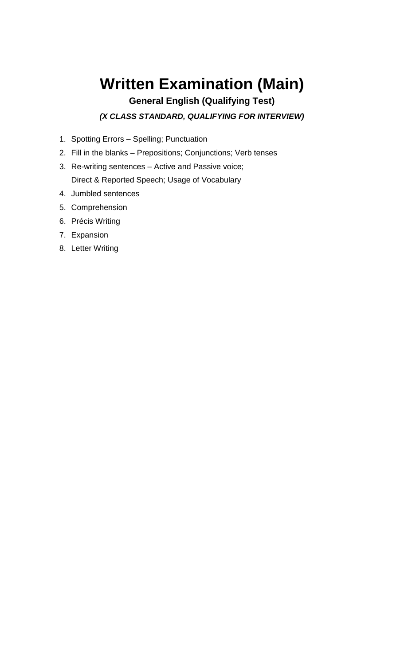# **Written Examination (Main)**

# **General English (Qualifying Test)**

*(X CLASS STANDARD, QUALIFYING FOR INTERVIEW)*

- 1. Spotting Errors Spelling; Punctuation
- 2. Fill in the blanks Prepositions; Conjunctions; Verb tenses
- 3. Re-writing sentences Active and Passive voice; Direct & Reported Speech; Usage of Vocabulary
- 4. Jumbled sentences
- 5. Comprehension
- 6. Précis Writing
- 7. Expansion
- 8. Letter Writing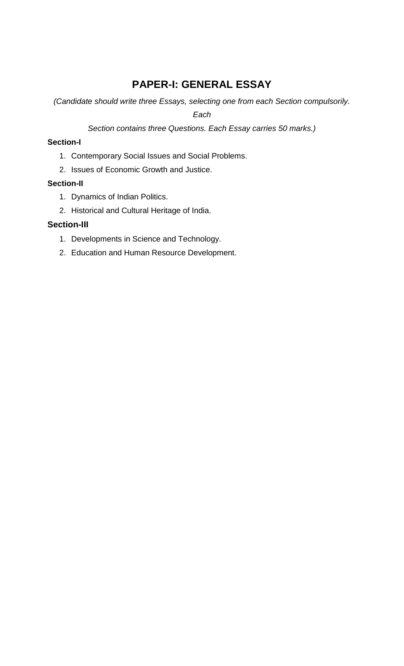# **PAPER-I: GENERAL ESSAY**

*(Candidate should write three Essays, selecting one from each Section compulsorily.* 

*Each*

*Section contains three Questions. Each Essay carries 50 marks.)*

#### **Section-I**

- 1. Contemporary Social Issues and Social Problems.
- 2. Issues of Economic Growth and Justice.

## **Section-II**

- 1. Dynamics of Indian Politics.
- 2. Historical and Cultural Heritage of India.

#### **Section-III**

- 1. Developments in Science and Technology.
- 2. Education and Human Resource Development.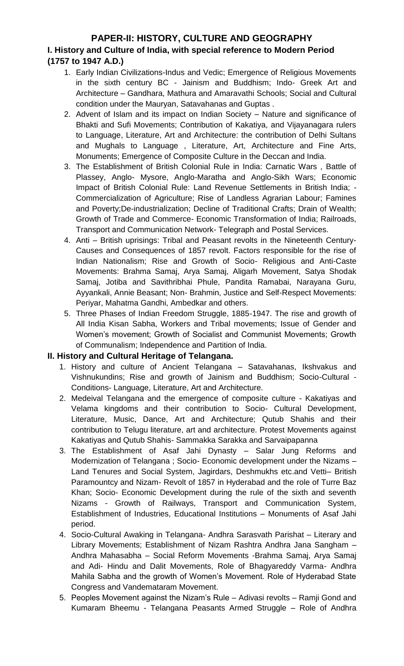## **PAPER-II: HISTORY, CULTURE AND GEOGRAPHY I. History and Culture of India, with special reference to Modern Period (1757 to 1947 A.D.)**

- 1. Early Indian Civilizations-Indus and Vedic; Emergence of Religious Movements in the sixth century BC - Jainism and Buddhism; Indo- Greek Art and Architecture – Gandhara, Mathura and Amaravathi Schools; Social and Cultural condition under the Mauryan, Satavahanas and Guptas .
- 2. Advent of Islam and its impact on Indian Society Nature and significance of Bhakti and Sufi Movements; Contribution of Kakatiya, and Vijayanagara rulers to Language, Literature, Art and Architecture: the contribution of Delhi Sultans and Mughals to Language , Literature, Art, Architecture and Fine Arts, Monuments; Emergence of Composite Culture in the Deccan and India.
- 3. The Establishment of British Colonial Rule in India: Carnatic Wars , Battle of Plassey, Anglo- Mysore, Anglo-Maratha and Anglo-Sikh Wars; Economic Impact of British Colonial Rule: Land Revenue Settlements in British India; - Commercialization of Agriculture; Rise of Landless Agrarian Labour; Famines and Poverty;De-industrialization; Decline of Traditional Crafts; Drain of Wealth; Growth of Trade and Commerce- Economic Transformation of India; Railroads, Transport and Communication Network- Telegraph and Postal Services.
- 4. Anti British uprisings: Tribal and Peasant revolts in the Nineteenth Century-Causes and Consequences of 1857 revolt. Factors responsible for the rise of Indian Nationalism; Rise and Growth of Socio- Religious and Anti-Caste Movements: Brahma Samaj, Arya Samaj, Aligarh Movement, Satya Shodak Samaj, Jotiba and Savithribhai Phule, Pandita Ramabai, Narayana Guru, Ayyankali, Annie Beasant; Non- Brahmin, Justice and Self-Respect Movements: Periyar, Mahatma Gandhi, Ambedkar and others.
- 5. Three Phases of Indian Freedom Struggle, 1885-1947. The rise and growth of All India Kisan Sabha, Workers and Tribal movements; Issue of Gender and Women's movement; Growth of Socialist and Communist Movements; Growth of Communalism; Independence and Partition of India.

#### **II. History and Cultural Heritage of Telangana.**

- 1. History and culture of Ancient Telangana Satavahanas, Ikshvakus and Vishnukundins; Rise and growth of Jainism and Buddhism; Socio-Cultural - Conditions- Language, Literature, Art and Architecture.
- 2. Medeival Telangana and the emergence of composite culture Kakatiyas and Velama kingdoms and their contribution to Socio- Cultural Development, Literature, Music, Dance, Art and Architecture; Qutub Shahis and their contribution to Telugu literature, art and architecture. Protest Movements against Kakatiyas and Qutub Shahis- Sammakka Sarakka and Sarvaipapanna
- 3. The Establishment of Asaf Jahi Dynasty Salar Jung Reforms and Modernization of Telangana ; Socio- Economic development under the Nizams – Land Tenures and Social System, Jagirdars, Deshmukhs etc.and Vetti– British Paramountcy and Nizam- Revolt of 1857 in Hyderabad and the role of Turre Baz Khan; Socio- Economic Development during the rule of the sixth and seventh Nizams - Growth of Railways, Transport and Communication System, Establishment of Industries, Educational Institutions – Monuments of Asaf Jahi period.
- 4. Socio-Cultural Awaking in Telangana- Andhra Sarasvath Parishat Literary and Library Movements; Establishment of Nizam Rashtra Andhra Jana Sangham – Andhra Mahasabha – Social Reform Movements -Brahma Samaj, Arya Samaj and Adi- Hindu and Dalit Movements, Role of Bhagyareddy Varma- Andhra Mahila Sabha and the growth of Women's Movement. Role of Hyderabad State Congress and Vandemataram Movement.
- 5. Peoples Movement against the Nizam's Rule Adivasi revolts Ramji Gond and Kumaram Bheemu - Telangana Peasants Armed Struggle – Role of Andhra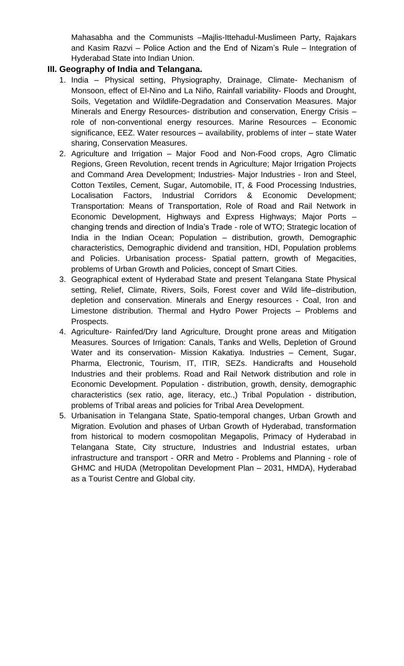Mahasabha and the Communists –Majlis-Ittehadul-Muslimeen Party, Rajakars and Kasim Razvi – Police Action and the End of Nizam's Rule – Integration of Hyderabad State into Indian Union.

#### **III. Geography of India and Telangana.**

- 1. India Physical setting, Physiography, Drainage, Climate- Mechanism of Monsoon, effect of El-Nino and La Niño, Rainfall variability- Floods and Drought, Soils, Vegetation and Wildlife-Degradation and Conservation Measures. Major Minerals and Energy Resources- distribution and conservation, Energy Crisis – role of non-conventional energy resources. Marine Resources – Economic significance, EEZ. Water resources – availability, problems of inter – state Water sharing, Conservation Measures.
- 2. Agriculture and Irrigation Major Food and Non-Food crops, Agro Climatic Regions, Green Revolution, recent trends in Agriculture; Major Irrigation Projects and Command Area Development; Industries- Major Industries - Iron and Steel, Cotton Textiles, Cement, Sugar, Automobile, IT, & Food Processing Industries, Localisation Factors, Industrial Corridors & Economic Development; Transportation: Means of Transportation, Role of Road and Rail Network in Economic Development, Highways and Express Highways; Major Ports – changing trends and direction of India's Trade - role of WTO; Strategic location of India in the Indian Ocean; Population – distribution, growth, Demographic characteristics, Demographic dividend and transition, HDI, Population problems and Policies. Urbanisation process- Spatial pattern, growth of Megacities, problems of Urban Growth and Policies, concept of Smart Cities.
- 3. Geographical extent of Hyderabad State and present Telangana State Physical setting, Relief, Climate, Rivers, Soils, Forest cover and Wild life–distribution, depletion and conservation. Minerals and Energy resources - Coal, Iron and Limestone distribution. Thermal and Hydro Power Projects – Problems and Prospects.
- 4. Agriculture- Rainfed/Dry land Agriculture, Drought prone areas and Mitigation Measures. Sources of Irrigation: Canals, Tanks and Wells, Depletion of Ground Water and its conservation- Mission Kakatiya. Industries – Cement, Sugar, Pharma, Electronic, Tourism, IT, ITIR, SEZs. Handicrafts and Household Industries and their problems. Road and Rail Network distribution and role in Economic Development. Population - distribution, growth, density, demographic characteristics (sex ratio, age, literacy, etc.,) Tribal Population - distribution, problems of Tribal areas and policies for Tribal Area Development.
- 5. Urbanisation in Telangana State, Spatio-temporal changes, Urban Growth and Migration. Evolution and phases of Urban Growth of Hyderabad, transformation from historical to modern cosmopolitan Megapolis, Primacy of Hyderabad in Telangana State, City structure, Industries and Industrial estates, urban infrastructure and transport - ORR and Metro - Problems and Planning - role of GHMC and HUDA (Metropolitan Development Plan – 2031, HMDA), Hyderabad as a Tourist Centre and Global city.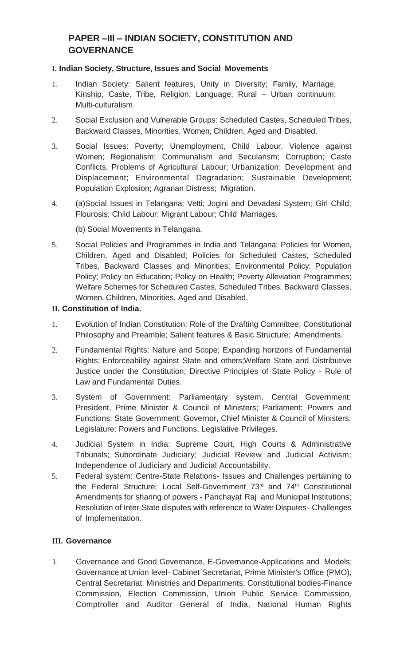# **PAPER –III – INDIAN SOCIETY, CONSTITUTION AND GOVERNANCE**

#### **I. Indian Society, Structure, Issues and Social Movements**

- 1. Indian Society: Salient features, Unity in Diversity; Family, Marriage, Kinship, Caste, Tribe, Religion, Language; Rural – Urban continuum; Multi-culturalism.
- 2. Social Exclusion and Vulnerable Groups: Scheduled Castes, Scheduled Tribes, Backward Classes, Minorities, Women, Children, Aged and Disabled.
- 3. Social Issues: Poverty; Unemployment, Child Labour, Violence against Women; Regionalism; Communalism and Secularism; Corruption; Caste Conflicts, Problems of Agricultural Labour; Urbanization; Development and Displacement; Environmental Degradation; Sustainable Development; Population Explosion; Agrarian Distress; Migration.
- 4. (a)Social Issues in Telangana: Vetti; Jogini and Devadasi System; Girl Child; Flourosis; Child Labour; Migrant Labour; Child Marriages.
	- (b) Social Movements in Telangana.
- 5. Social Policies and Programmes in India and Telangana: Policies for Women, Children, Aged and Disabled; Policies for Scheduled Castes, Scheduled Tribes, Backward Classes and Minorities; Environmental Policy; Population Policy; Policy on Education; Policy on Health; Poverty Alleviation Programmes; Welfare Schemes for Scheduled Castes, Scheduled Tribes, Backward Classes, Women, Children, Minorities, Aged and Disabled.

#### **II. Constitution of India.**

- 1. Evolution of Indian Constitution: Role of the Drafting Committee; Constitutional Philosophy and Preamble; Salient features & Basic Structure; Amendments.
- 2. Fundamental Rights: Nature and Scope; Expanding horizons of Fundamental Rights; Enforceability against State and others;Welfare State and Distributive Justice under the Constitution; Directive Principles of State Policy - Rule of Law and Fundamental Duties.
- 3. System of Government: Parliamentary system, Central Government: President, Prime Minister & Council of Ministers; Parliament: Powers and Functions; State Government: Governor, Chief Minister & Council of Ministers; Legislature: Powers and Functions, Legislative Privileges.
- 4. Judicial System in India: Supreme Court, High Courts & Administrative Tribunals; Subordinate Judiciary; Judicial Review and Judicial Activism; Independence of Judiciary and Judicial Accountability.
- 5. Federal system: Centre-State Relations- Issues and Challenges pertaining to the Federal Structure; Local Self-Government 73<sup>rd</sup> and 74<sup>th</sup> Constitutional Amendments for sharing of powers - Panchayat Raj and Municipal Institutions; Resolution of Inter-State disputes with reference to Water Disputes- Challenges of Implementation.

#### **III. Governance**

1. Governance and Good Governance, E-Governance-Applications and Models; Governance at Union level- Cabinet Secretariat, Prime Minister's Office (PMO), Central Secretariat, Ministries and Departments; Constitutional bodies-Finance Commission, Election Commission, Union Public Service Commission, Comptroller and Auditor General of India, National Human Rights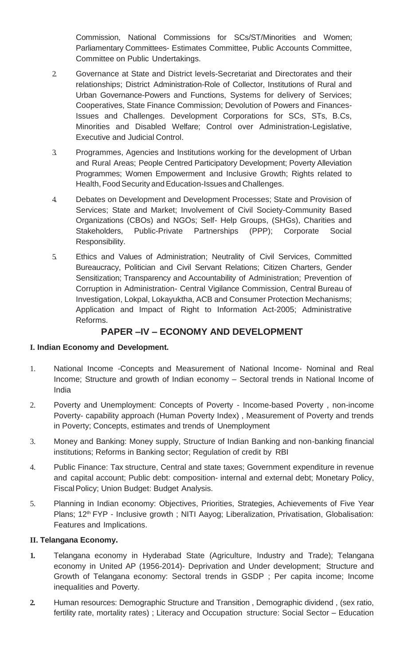Commission, National Commissions for SCs/ST/Minorities and Women; Parliamentary Committees- Estimates Committee, Public Accounts Committee, Committee on Public Undertakings.

- 2. Governance at State and District levels-Secretariat and Directorates and their relationships; District Administration-Role of Collector, Institutions of Rural and Urban Governance-Powers and Functions, Systems for delivery of Services; Cooperatives, State Finance Commission; Devolution of Powers and Finances-Issues and Challenges. Development Corporations for SCs, STs, B.Cs, Minorities and Disabled Welfare; Control over Administration-Legislative, Executive and Judicial Control.
- 3. Programmes, Agencies and Institutions working for the development of Urban and Rural Areas; People Centred Participatory Development; Poverty Alleviation Programmes; Women Empowerment and Inclusive Growth; Rights related to Health, Food Security and Education-Issues and Challenges.
- 4. Debates on Development and Development Processes; State and Provision of Services; State and Market; Involvement of Civil Society-Community Based Organizations (CBOs) and NGOs; Self- Help Groups, (SHGs), Charities and Stakeholders, Public-Private Partnerships (PPP); Corporate Social Responsibility.
- 5. Ethics and Values of Administration; Neutrality of Civil Services, Committed Bureaucracy, Politician and Civil Servant Relations; Citizen Charters, Gender Sensitization; Transparency and Accountability of Administration; Prevention of Corruption in Administration- Central Vigilance Commission, Central Bureau of Investigation, Lokpal, Lokayuktha, ACB and Consumer Protection Mechanisms; Application and Impact of Right to Information Act-2005; Administrative Reforms.

## **PAPER –IV – ECONOMY AND DEVELOPMENT**

#### **I. Indian Economy and Development.**

- 1. National Income -Concepts and Measurement of National Income- Nominal and Real Income; Structure and growth of Indian economy – Sectoral trends in National Income of India
- 2. Poverty and Unemployment: Concepts of Poverty Income-based Poverty , non-income Poverty- capability approach (Human Poverty Index) , Measurement of Poverty and trends in Poverty; Concepts, estimates and trends of Unemployment
- 3. Money and Banking: Money supply, Structure of Indian Banking and non-banking financial institutions; Reforms in Banking sector; Regulation of credit by RBI
- 4. Public Finance: Tax structure, Central and state taxes; Government expenditure in revenue and capital account; Public debt: composition- internal and external debt; Monetary Policy, FiscalPolicy; Union Budget: Budget Analysis.
- 5. Planning in Indian economy: Objectives, Priorities, Strategies, Achievements of Five Year Plans; 12<sup>th</sup> FYP - Inclusive growth; NITI Aayog; Liberalization, Privatisation, Globalisation: Features and Implications.

#### **II. Telangana Economy.**

- **1.** Telangana economy in Hyderabad State (Agriculture, Industry and Trade); Telangana economy in United AP (1956-2014)- Deprivation and Under development; Structure and Growth of Telangana economy: Sectoral trends in GSDP ; Per capita income; Income inequalities and Poverty.
- **2.** Human resources: Demographic Structure and Transition , Demographic dividend , (sex ratio, fertility rate, mortality rates) ; Literacy and Occupation structure: Social Sector – Education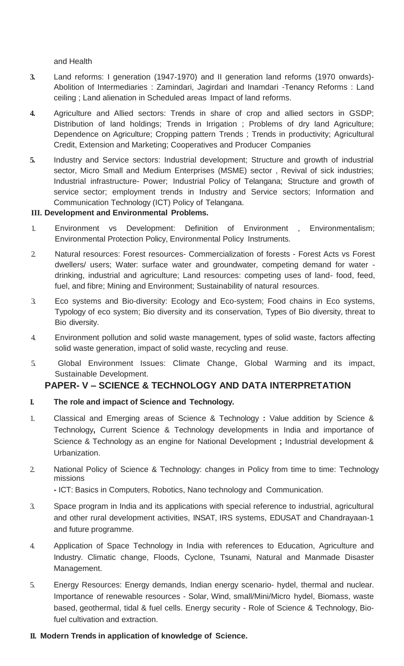and Health

- **3.** Land reforms: I generation (1947-1970) and II generation land reforms (1970 onwards)- Abolition of Intermediaries : Zamindari, Jagirdari and Inamdari -Tenancy Reforms : Land ceiling ; Land alienation in Scheduled areas ; Impact of land reforms.
- **4.** Agriculture and Allied sectors: Trends in share of crop and allied sectors in GSDP; Distribution of land holdings; Trends in Irrigation ; Problems of dry land Agriculture; Dependence on Agriculture; Cropping pattern Trends ; Trends in productivity; Agricultural Credit, Extension and Marketing; Cooperatives and Producer Companies
- **5.** Industry and Service sectors: Industrial development; Structure and growth of industrial sector, Micro Small and Medium Enterprises (MSME) sector , Revival of sick industries; Industrial infrastructure- Power; Industrial Policy of Telangana; Structure and growth of service sector; employment trends in Industry and Service sectors; Information and Communication Technology (ICT) Policy of Telangana.

#### **III. Development and Environmental Problems.**

- 1. Environment vs Development: Definition of Environment , Environmentalism; Environmental Protection Policy, Environmental Policy Instruments.
- 2. Natural resources: Forest resources- Commercialization of forests Forest Acts vs Forest dwellers/ users; Water: surface water and groundwater, competing demand for water drinking, industrial and agriculture; Land resources: competing uses of land- food, feed, fuel, and fibre; Mining and Environment; Sustainability of natural resources.
- 3. Eco systems and Bio-diversity: Ecology and Eco-system; Food chains in Eco systems, Typology of eco system; Bio diversity and its conservation, Types of Bio diversity, threat to Bio diversity.
- 4. Environment pollution and solid waste management, types of solid waste, factors affecting solid waste generation, impact of solid waste, recycling and reuse.
- 5. Global Environment Issues: Climate Change, Global Warming and its impact, Sustainable Development.

#### **PAPER- V – SCIENCE & TECHNOLOGY AND DATA INTERPRETATION**

#### **I. The role and impact of Science and Technology.**

- 1. Classical and Emerging areas of Science & Technology **:** Value addition by Science & Technology**,** Current Science & Technology developments in India and importance of Science & Technology as an engine for National Development **;** Industrial development & Urbanization.
- 2. National Policy of Science & Technology: changes in Policy from time to time: Technology missions

**-** ICT: Basics in Computers, Robotics, Nano technology and Communication.

- 3. Space program in India and its applications with special reference to industrial, agricultural and other rural development activities, INSAT, IRS systems, EDUSAT and Chandrayaan-1 and future programme.
- 4. Application of Space Technology in India with references to Education, Agriculture and Industry. Climatic change, Floods, Cyclone, Tsunami, Natural and Manmade Disaster Management.
- 5. Energy Resources: Energy demands, Indian energy scenario- hydel, thermal and nuclear. Importance of renewable resources - Solar, Wind, small/Mini/Micro hydel, Biomass, waste based, geothermal, tidal & fuel cells. Energy security - Role of Science & Technology, Biofuel cultivation and extraction.

#### **II. Modern Trends in application of knowledge of Science.**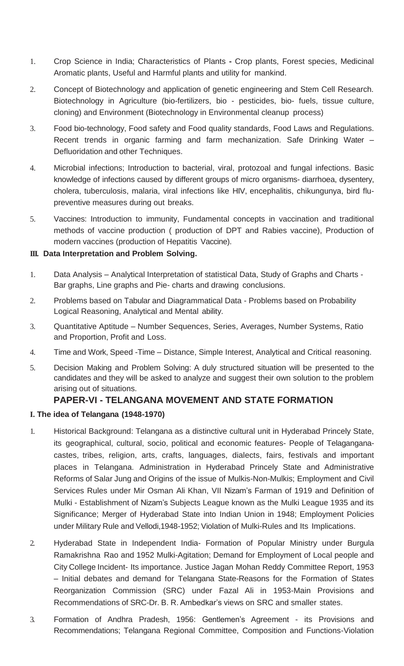- 1. Crop Science in India; Characteristics of Plants **-** Crop plants, Forest species, Medicinal Aromatic plants, Useful and Harmful plants and utility for mankind.
- 2. Concept of Biotechnology and application of genetic engineering and Stem Cell Research. Biotechnology in Agriculture (bio-fertilizers, bio - pesticides, bio- fuels, tissue culture, cloning) and Environment (Biotechnology in Environmental cleanup process)
- 3. Food bio-technology, Food safety and Food quality standards, Food Laws and Regulations. Recent trends in organic farming and farm mechanization. Safe Drinking Water – Defluoridation and other Techniques.
- 4. Microbial infections; Introduction to bacterial, viral, protozoal and fungal infections. Basic knowledge of infections caused by different groups of micro organisms- diarrhoea, dysentery, cholera, tuberculosis, malaria, viral infections like HIV, encephalitis, chikungunya, bird flupreventive measures during out breaks.
- 5. Vaccines: Introduction to immunity, Fundamental concepts in vaccination and traditional methods of vaccine production ( production of DPT and Rabies vaccine), Production of modern vaccines (production of Hepatitis Vaccine).

#### **III. Data Interpretation and Problem Solving.**

- 1. Data Analysis Analytical Interpretation of statistical Data, Study of Graphs and Charts Bar graphs, Line graphs and Pie- charts and drawing conclusions.
- 2. Problems based on Tabular and Diagrammatical Data Problems based on Probability Logical Reasoning, Analytical and Mental ability.
- 3. Quantitative Aptitude Number Sequences, Series, Averages, Number Systems, Ratio and Proportion, Profit and Loss.
- 4. Time and Work, Speed -Time Distance, Simple Interest, Analytical and Critical reasoning.
- 5. Decision Making and Problem Solving: A duly structured situation will be presented to the candidates and they will be asked to analyze and suggest their own solution to the problem arising out of situations.

# **PAPER-VI - TELANGANA MOVEMENT AND STATE FORMATION**

# **I. The idea of Telangana (1948-1970)**

- 1. Historical Background: Telangana as a distinctive cultural unit in Hyderabad Princely State, its geographical, cultural, socio, political and economic features- People of Telaganganacastes, tribes, religion, arts, crafts, languages, dialects, fairs, festivals and important places in Telangana. Administration in Hyderabad Princely State and Administrative Reforms of Salar Jung and Origins of the issue of Mulkis-Non-Mulkis; Employment and Civil Services Rules under Mir Osman Ali Khan, VII Nizam's Farman of 1919 and Definition of Mulki - Establishment of Nizam's Subjects League known as the Mulki League 1935 and its Significance; Merger of Hyderabad State into Indian Union in 1948; Employment Policies under Military Rule and Vellodi,1948-1952; Violation of Mulki-Rules and Its Implications.
- 2. Hyderabad State in Independent India- Formation of Popular Ministry under Burgula Ramakrishna Rao and 1952 Mulki-Agitation; Demand for Employment of Local people and City College Incident- Its importance. Justice Jagan Mohan Reddy Committee Report, 1953 – Initial debates and demand for Telangana State-Reasons for the Formation of States Reorganization Commission (SRC) under Fazal Ali in 1953-Main Provisions and Recommendations of SRC-Dr. B. R. Ambedkar's views on SRC and smaller states.
- 3. Formation of Andhra Pradesh, 1956: Gentlemen's Agreement its Provisions and Recommendations; Telangana Regional Committee, Composition and Functions-Violation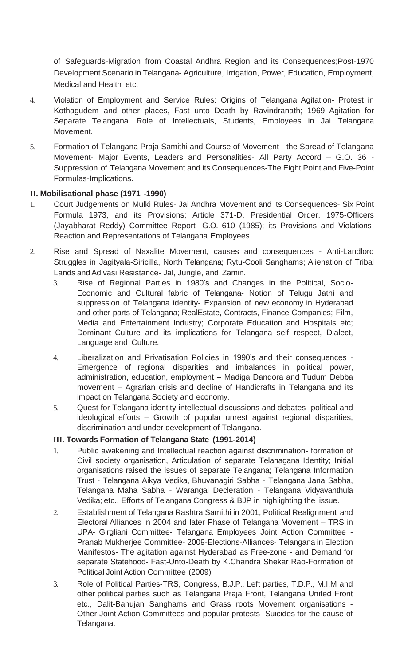of Safeguards-Migration from Coastal Andhra Region and its Consequences;Post-1970 Development Scenario in Telangana- Agriculture, Irrigation, Power, Education, Employment, Medical and Health etc.

- 4. Violation of Employment and Service Rules: Origins of Telangana Agitation- Protest in Kothagudem and other places, Fast unto Death by Ravindranath; 1969 Agitation for Separate Telangana. Role of Intellectuals, Students, Employees in Jai Telangana Movement.
- 5. Formation of Telangana Praja Samithi and Course of Movement the Spread of Telangana Movement- Major Events, Leaders and Personalities- All Party Accord – G.O. 36 - Suppression of Telangana Movement and its Consequences-The Eight Point and Five-Point Formulas-Implications.

#### **II. Mobilisational phase (1971 -1990)**

- 1. Court Judgements on Mulki Rules- Jai Andhra Movement and its Consequences- Six Point Formula 1973, and its Provisions; Article 371-D, Presidential Order, 1975-Officers (Jayabharat Reddy) Committee Report- G.O. 610 (1985); its Provisions and Violations-Reaction and Representations of Telangana Employees
- 2. Rise and Spread of Naxalite Movement, causes and consequences Anti-Landlord Struggles in Jagityala-Siricilla, North Telangana; Rytu-Cooli Sanghams; Alienation of Tribal Lands and Adivasi Resistance- Jal, Jungle, and Zamin.
	- 3. Rise of Regional Parties in 1980's and Changes in the Political, Socio-Economic and Cultural fabric of Telangana- Notion of Telugu Jathi and suppression of Telangana identity- Expansion of new economy in Hyderabad and other parts of Telangana; RealEstate, Contracts, Finance Companies; Film, Media and Entertainment Industry; Corporate Education and Hospitals etc; Dominant Culture and its implications for Telangana self respect, Dialect, Language and Culture.
	- 4. Liberalization and Privatisation Policies in 1990's and their consequences Emergence of regional disparities and imbalances in political power, administration, education, employment – Madiga Dandora and Tudum Debba movement – Agrarian crisis and decline of Handicrafts in Telangana and its impact on Telangana Society and economy.
	- 5. Quest for Telangana identity-intellectual discussions and debates- political and ideological efforts – Growth of popular unrest against regional disparities, discrimination and under development of Telangana.

#### **III. Towards Formation of Telangana State (1991-2014)**

- 1. Public awakening and Intellectual reaction against discrimination- formation of Civil society organisation, Articulation of separate Telanagana Identity; Initial organisations raised the issues of separate Telangana; Telangana Information Trust - Telangana Aikya Vedika, Bhuvanagiri Sabha - Telangana Jana Sabha, Telangana Maha Sabha - Warangal Decleration - Telangana Vidyavanthula Vedika; etc., Efforts of Telangana Congress & BJP in highlighting the issue.
- 2. Establishment of Telangana Rashtra Samithi in 2001, Political Realignment and Electoral Alliances in 2004 and later Phase of Telangana Movement – TRS in UPA- Girgliani Committee- Telangana Employees Joint Action Committee - Pranab Mukherjee Committee- 2009-Elections-Alliances- Telangana in Election Manifestos- The agitation against Hyderabad as Free-zone - and Demand for separate Statehood- Fast-Unto-Death by K.Chandra Shekar Rao-Formation of Political Joint Action Committee (2009)
- 3. Role of Political Parties-TRS, Congress, B.J.P., Left parties, T.D.P., M.I.M and other political parties such as Telangana Praja Front, Telangana United Front etc., Dalit-Bahujan Sanghams and Grass roots Movement organisations - Other Joint Action Committees and popular protests- Suicides for the cause of Telangana.